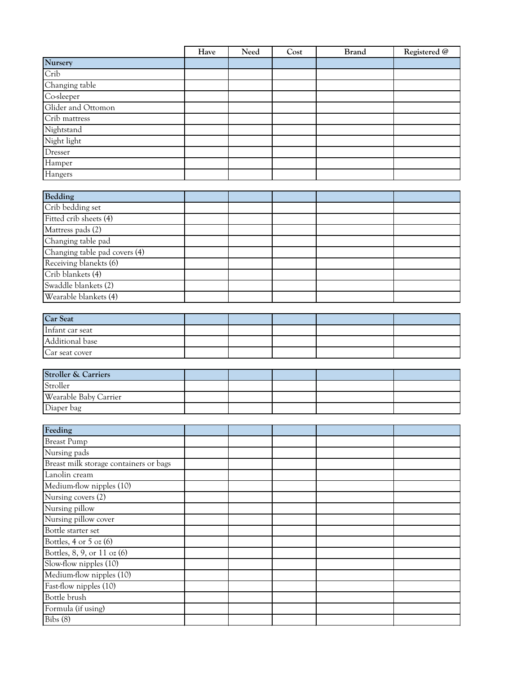|                    | Have | Need | Cost | <b>Brand</b> | Registered @ |
|--------------------|------|------|------|--------------|--------------|
| Nursery            |      |      |      |              |              |
| Crib               |      |      |      |              |              |
| Changing table     |      |      |      |              |              |
| Co-sleeper         |      |      |      |              |              |
| Glider and Ottomon |      |      |      |              |              |
| Crib mattress      |      |      |      |              |              |
| Nightstand         |      |      |      |              |              |
| Night light        |      |      |      |              |              |
| Dresser            |      |      |      |              |              |
| Hamper             |      |      |      |              |              |
| Hangers            |      |      |      |              |              |

| Bedding                       |  |  |  |
|-------------------------------|--|--|--|
| Crib bedding set              |  |  |  |
| Fitted crib sheets (4)        |  |  |  |
| Mattress pads (2)             |  |  |  |
| Changing table pad            |  |  |  |
| Changing table pad covers (4) |  |  |  |
| Receiving blanekts (6)        |  |  |  |
| Crib blankets (4)             |  |  |  |
| Swaddle blankets (2)          |  |  |  |
| Wearable blankets (4)         |  |  |  |

| <b>Car Seat</b> |  |  |  |
|-----------------|--|--|--|
| Infant car seat |  |  |  |
| Additional base |  |  |  |
| Car seat cover  |  |  |  |

| <b>Stroller &amp; Carriers</b> |  |  |  |
|--------------------------------|--|--|--|
| Stroller                       |  |  |  |
| Wearable Baby Carrier          |  |  |  |
| Diaper bag                     |  |  |  |

| Feeding                                |  |  |  |
|----------------------------------------|--|--|--|
| <b>Breast Pump</b>                     |  |  |  |
| Nursing pads                           |  |  |  |
| Breast milk storage containers or bags |  |  |  |
| Lanolin cream                          |  |  |  |
| Medium-flow nipples (10)               |  |  |  |
| Nursing covers (2)                     |  |  |  |
| Nursing pillow                         |  |  |  |
| Nursing pillow cover                   |  |  |  |
| Bottle starter set                     |  |  |  |
| Bottles, $4$ or $5$ oz $(6)$           |  |  |  |
| Bottles, 8, 9, or 11 oz (6)            |  |  |  |
| Slow-flow nipples (10)                 |  |  |  |
| Medium-flow nipples (10)               |  |  |  |
| Fast-flow nipples (10)                 |  |  |  |
| Bottle brush                           |  |  |  |
| Formula (if using)                     |  |  |  |
| Bibs (8)                               |  |  |  |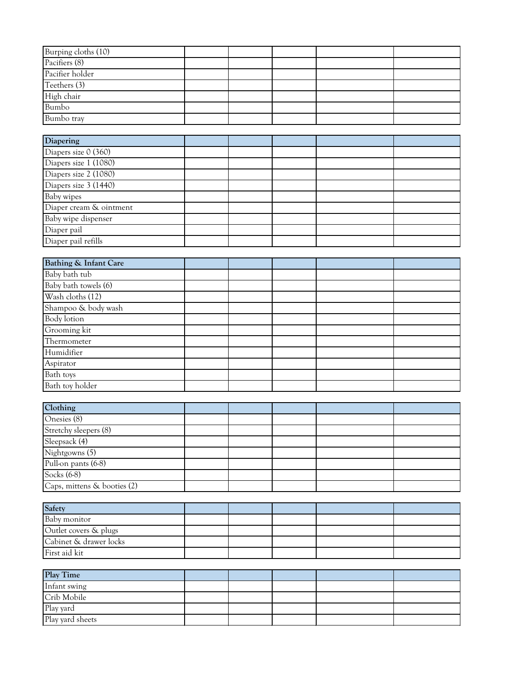| Burping cloths (10) |  |  |  |
|---------------------|--|--|--|
| Pacifiers (8)       |  |  |  |
| Pacifier holder     |  |  |  |
| Teethers (3)        |  |  |  |
| High chair          |  |  |  |
| <b>Bumbo</b>        |  |  |  |
| Bumbo tray          |  |  |  |

| <b>Diapering</b>        |  |  |  |
|-------------------------|--|--|--|
| Diapers size 0 (360)    |  |  |  |
| Diapers size 1 (1080)   |  |  |  |
| Diapers size 2 (1080)   |  |  |  |
| Diapers size 3 (1440)   |  |  |  |
| Baby wipes              |  |  |  |
| Diaper cream & ointment |  |  |  |
| Baby wipe dispenser     |  |  |  |
| Diaper pail             |  |  |  |
| Diaper pail refills     |  |  |  |

| <b>Bathing &amp; Infant Care</b> |  |  |  |
|----------------------------------|--|--|--|
| Baby bath tub                    |  |  |  |
| Baby bath towels (6)             |  |  |  |
| Wash cloths (12)                 |  |  |  |
| Shampoo & body wash              |  |  |  |
| Body lotion                      |  |  |  |
| Grooming kit                     |  |  |  |
| Thermometer                      |  |  |  |
| Humidifier                       |  |  |  |
| Aspirator                        |  |  |  |
| Bath toys                        |  |  |  |
| Bath toy holder                  |  |  |  |

| Clothing                    |  |  |  |
|-----------------------------|--|--|--|
| Onesies (8)                 |  |  |  |
| Stretchy sleepers (8)       |  |  |  |
| Sleepsack (4)               |  |  |  |
| Nightgowns $(5)$            |  |  |  |
| Pull-on pants (6-8)         |  |  |  |
| Socks (6-8)                 |  |  |  |
| Caps, mittens & booties (2) |  |  |  |

| <b>Safety</b>          |  |  |  |
|------------------------|--|--|--|
| Baby monitor           |  |  |  |
| Outlet covers & plugs  |  |  |  |
| Cabinet & drawer locks |  |  |  |
| First aid kit          |  |  |  |

| Play Time        |  |  |  |
|------------------|--|--|--|
| Infant swing     |  |  |  |
| Crib Mobile      |  |  |  |
| Play yard        |  |  |  |
| Play yard sheets |  |  |  |